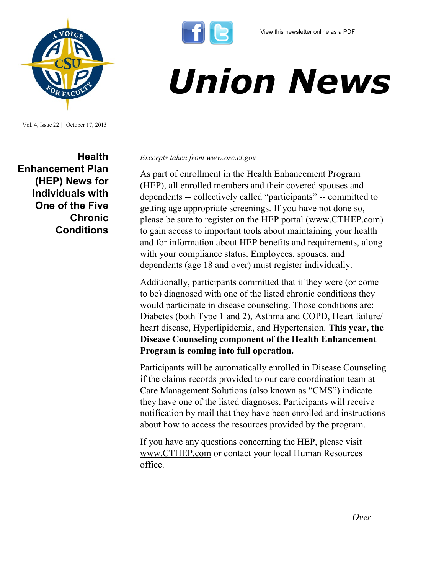

## *Union News*

Vol. 4, Issue 22 | October 17, 2013

**Health Enhancement Plan (HEP) News for Individuals with One of the Five Chronic Conditions**

*Excerpts taken from www.osc.ct.gov*

As part of enrollment in the Health Enhancement Program (HEP), all enrolled members and their covered spouses and dependents -- collectively called "participants" -- committed to getting age appropriate screenings. If you have not done so, please be sure to register on the HEP portal ([www.CTHEP.com\)](http://www.CTHEP.com)  to gain access to important tools about maintaining your health and for information about HEP benefits and requirements, along with your compliance status. Employees, spouses, and dependents (age 18 and over) must register individually.

Additionally, participants committed that if they were (or come to be) diagnosed with one of the listed chronic conditions they would participate in disease counseling. Those conditions are: Diabetes (both Type 1 and 2), Asthma and COPD, Heart failure/ heart disease, Hyperlipidemia, and Hypertension. **This year, the Disease Counseling component of the Health Enhancement Program is coming into full operation.** 

Participants will be automatically enrolled in Disease Counseling if the claims records provided to our care coordination team at Care Management Solutions (also known as "CMS") indicate they have one of the listed diagnoses. Participants will receive notification by mail that they have been enrolled and instructions about how to access the resources provided by the program.

If you have any questions concerning the HEP, please visit [www.CTHEP.com](http://www.CTHEP.com) or contact your local Human Resources office.